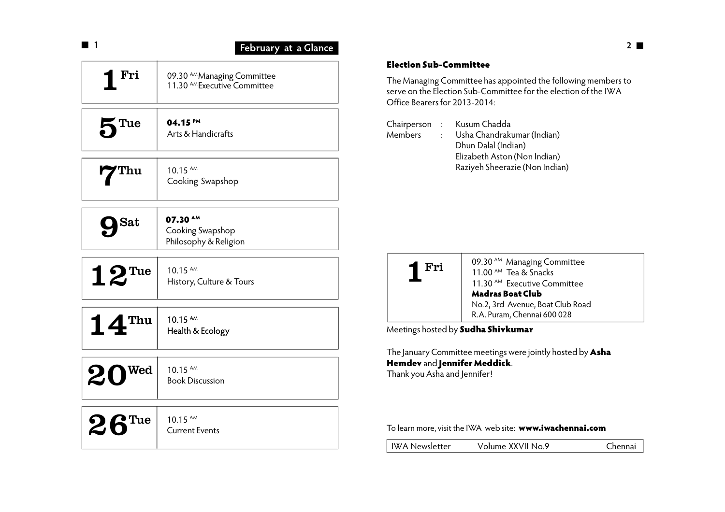| l 1                                      | February at a Glance                                                   |
|------------------------------------------|------------------------------------------------------------------------|
| <u>Fri</u>                               | 09.30 AM Managing Committee<br>11.30 <sup>AM</sup> Executive Committee |
| 5 <sup>Tue</sup>                         | 04.15 PM<br>Arts & Handicrafts                                         |
| 7 <sup>Thu</sup>                         | 10.15 AM<br>Cooking Swapshop                                           |
| $\mathbf{Sat}$                           | 07.30 AM<br>Cooking Swapshop<br>Philosophy & Religion                  |
| $12$ <sup>Tue</sup>                      | 10.15 AM<br>History, Culture & Tours                                   |
| $\mathbf{14}^{\text{\tiny\textsf{Thu}}}$ | 10.15 AM<br>Health & Ecology                                           |
| $20^{$                                   | 10.15 AM<br><b>Book Discussion</b>                                     |
| $26$ <sup>Tue</sup>                      | 10.15 AM<br><b>Current Events</b>                                      |

### **Election Sub-Committee**

The Managing Committee has appointed the following members to serve on the Election Sub-Committee for the election of the IWA Office Bearers for 2013-2014:

Chairperson : Kusum Chadda Members : Usha Chandrakumar (Indian) Dhun Dalal (Indian) Elizabeth Aston (Non Indian) Raziyeh Sheerazie (Non Indian)



Meetings hosted by **Sudha Shivkumar**

The January Committee meetings were jointly hosted by **Asha Hemdev** and **Jennifer Meddick**. Thank you Asha and Jennifer!

### To learn more, visit the IWA web site: **www.iwachennai.com**

| IWA Newsletter | Volume XXVII No.9 | Chennai |
|----------------|-------------------|---------|
|                |                   |         |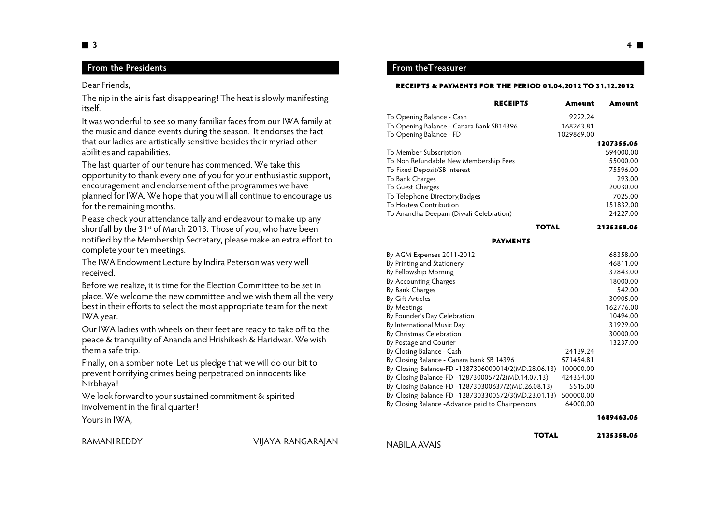# **From the Presidents**

Dear Friends,

The nip in the air is fast disappearing! The heat is slowly manifesting itself.

It was wonderful to see so many familiar faces from our IWA family at the music and dance events during the season. It endorses the fact that our ladies are artistically sensitive besides their myriad other abilities and capabilities.

The last quarter of our tenure has commenced. We take this opportunity to thank every one of you for your enthusiastic support, encouragement and endorsement of the programmes we have planned for IWA. We hope that you will all continue to encourage us for the remaining months.

Please check your attendance tally and endeavour to make up any shortfall by the 31<sup>st</sup> of March 2013. Those of you, who have been notified by the Membership Secretary, please make an extra effort to complete your ten meetings.

The IWA Endowment Lecture by Indira Peterson was very well received.

Before we realize, it is time for the Election Committee to be set in place. We welcome the new committee and we wish them all the very best in their efforts to select the most appropriate team for the next IWA year.

Our IWA ladies with wheels on their feet are ready to take off to the peace & tranquility of Ananda and Hrishikesh & Haridwar. We wish them a safe trip.

Finally, on a somber note: Let us pledge that we will do our bit to prevent horrifying crimes being perpetrated on innocents like Nirbhaya!

We look forward to your sustained commitment & spirited involvement in the final quarter!

Yours in IWA,

RAMANI REDDY VIJAYA RANGARAJAN

#### **RECEIPTS & PAYMENTS FOR THE PERIOD 01.04.2012 TO 31.12.2012**

| <b>RECEIPTS</b>                          | Amount     | Amount     |
|------------------------------------------|------------|------------|
| To Opening Balance - Cash                | 9222.24    |            |
| To Opening Balance - Canara Bank SB14396 | 168263.81  |            |
| To Opening Balance - FD                  | 1029869.00 |            |
|                                          |            | 1207355.05 |
| To Member Subscription                   |            | 594000.00  |
| To Non Refundable New Membership Fees    |            | 55000.00   |
| To Fixed Deposit/SB Interest             |            | 75596.00   |
| To Bank Charges                          |            | 293.00     |
| To Guest Charges                         |            | 20030.00   |
| To Telephone Directory, Badges           |            | 7025.00    |
| To Hostess Contribution                  |            | 151832.00  |
| To Anandha Deepam (Diwali Celebration)   |            | 24227.00   |
|                                          | TOTAL      | 2135358.05 |

#### **PAYMENTS**

| By AGM Expenses 2011-2012                           |           | 68358.00  |
|-----------------------------------------------------|-----------|-----------|
| By Printing and Stationery                          |           | 46811.00  |
| By Fellowship Morning                               |           | 32843.00  |
| By Accounting Charges                               |           | 18000.00  |
| By Bank Charges                                     |           | 542.00    |
| By Gift Articles                                    |           | 30905.00  |
| By Meetings                                         |           | 162776.00 |
| By Founder's Day Celebration                        |           | 10494.00  |
| By International Music Day                          |           | 31929.00  |
| By Christmas Celebration                            |           | 30000.00  |
| By Postage and Courier                              |           | 13237.00  |
| By Closing Balance - Cash                           | 24139.24  |           |
| By Closing Balance - Canara bank SB 14396           | 571454.81 |           |
| By Closing Balance-FD -1287306000014/2(MD.28.06.13) | 100000.00 |           |
| By Closing Balance-FD -12873000572/2(MD.14.07.13)   | 424354.00 |           |
| By Closing Balance-FD -128730300637/2(MD.26.08.13)  | 5515.00   |           |
| By Closing Balance-FD -1287303300572/3(MD.23.01.13) | 500000.00 |           |
| By Closing Balance -Advance paid to Chairpersons    | 64000.00  |           |
|                                                     |           |           |

#### **1689463.05**

```
NABILA AVAIS
```
**TOTAL 2135358.05**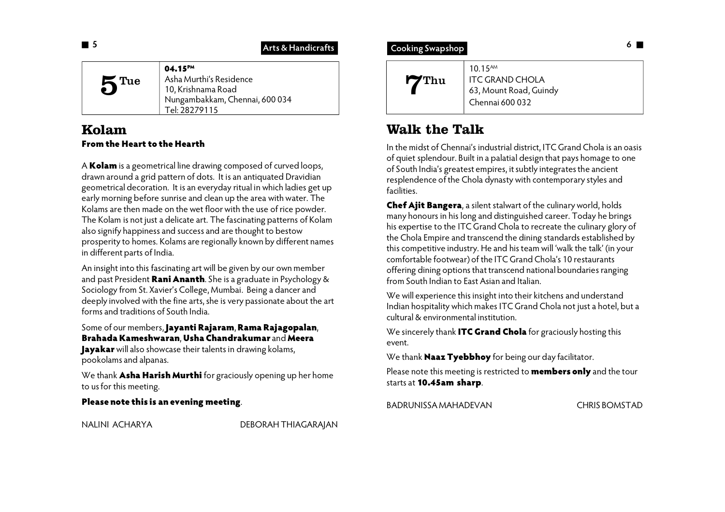# **Arts & Handicrafts**

| Asha Murthi's Residence<br>5 <sup>Tue</sup><br>10, Krishnama Road<br>Nungambakkam, Chennai, 600 034<br>Tel: 28279115 |
|----------------------------------------------------------------------------------------------------------------------|
|----------------------------------------------------------------------------------------------------------------------|

# **Kolam From the Heart to the Hearth**

A **Kolam** is a geometrical line drawing composed of curved loops, drawn around a grid pattern of dots. It is an antiquated Dravidian geometrical decoration. It is an everyday ritual in which ladies get up early morning before sunrise and clean up the area with water. The Kolams are then made on the wet floor with the use of rice powder. The Kolam is not just a delicate art. The fascinating patterns of Kolam also signify happiness and success and are thought to bestow prosperity to homes. Kolams are regionally known by different names in different parts of India.

An insight into this fascinating art will be given by our own member and past President **Rani Ananth**. She is a graduate in Psychology & Sociology from St. Xavier's College, Mumbai. Being a dancer and deeply involved with the fine arts, she is very passionate about the art forms and traditions of South India.

Some of our members, **Jayanti Rajaram**, **Rama Rajagopalan**, **Brahada Kameshwaran**, **Usha Chandrakumar** and **Meera Jayakar** will also showcase their talents in drawing kolams,

pookolams and alpanas.

We thank **Asha Harish Murthi** for graciously opening up her home to us for this meeting.

## **Please note this is an evening meeting**.

NALINI ACHARYA DEBORAH THIAGARAJAN

| $10.15^{AM}$<br>$\mathbf{r}$ Thu<br><b>ITC GRAND CHOLA</b><br>63, Mount Road, Guindy<br>Chennai 600 032 |
|---------------------------------------------------------------------------------------------------------|
|---------------------------------------------------------------------------------------------------------|

# **Walk the Talk**

In the midst of Chennai's industrial district, ITC Grand Chola is an oasis of quiet splendour. Built in a palatial design that pays homage to one of South India's greatest empires, it subtly integrates the ancient resplendence of the Chola dynasty with contemporary styles and facilities.

**Chef Ajit Bangera**, a silent stalwart of the culinary world, holds many honours in his long and distinguished career. Today he brings his expertise to the ITC Grand Chola to recreate the culinary glory of the Chola Empire and transcend the dining standards established by this competitive industry. He and his team will 'walk the talk' (in your comfortable footwear) of the ITC Grand Chola's 10 restaurants offering dining options that transcend national boundaries ranging from South Indian to East Asian and Italian.

We will experience this insight into their kitchens and understand Indian hospitality which makes ITC Grand Chola not just a hotel, but a cultural & environmental institution.

We sincerely thank **ITC Grand Chola** for graciously hosting this event.

We thank **Naaz Tyebbhoy** for being our day facilitator.

Please note this meeting is restricted to **members only** and the tour starts at **10.45am sharp**.

BADRUNISSA MAHADEVAN CHRIS BOMSTAD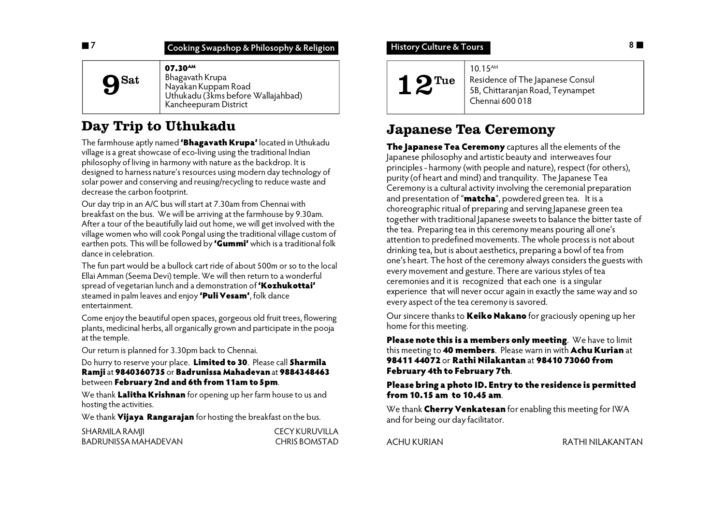| $07.30^{AM}$<br>Bhagavath Krupa<br><b>9</b> Sat<br>Nayakan Kuppam Road<br>Uthukadu (3kms before Wallajahbad)<br>Kancheepuram District |
|---------------------------------------------------------------------------------------------------------------------------------------|
|---------------------------------------------------------------------------------------------------------------------------------------|

# **Day Trip to Uthukadu**

The farmhouse aptly named **'Bhagavath Krupa'** located in Uthukadu village is a great showcase of eco-living using the traditional Indian philosophy of living in harmony with nature as the backdrop. It is designed to harness nature's resources using modern day technology of solar power and conserving and reusing/recycling to reduce waste and decrease the carbon footprint.

Our day trip in an A/C bus will start at 7.30am from Chennai with breakfast on the bus. We will be arriving at the farmhouse by 9.30am. After a tour of the beautifully laid out home, we will get involved with the village women who will cook Pongal using the traditional village custom of earthen pots. This will be followed by **'Gummi'** which is a traditional folk dance in celebration.

The fun part would be a bullock cart ride of about 500m or so to the local Ellai Amman (Seema Devi) temple. We will then return to a wonderful spread of vegetarian lunch and a demonstration of **'Kozhukottai'** steamed in palm leaves and enjoy **'Puli Vesam'**, folk dance entertainment.

Come enjoy the beautiful open spaces, gorgeous old fruit trees, flowering plants, medicinal herbs, all organically grown and participate in the pooja at the temple.

Our return is planned for 3.30pm back to Chennai.

Do hurry to reserve your place. **Limited to 30**. Please call **Sharmila Ramji** at **9840360735** or **Badrunissa Mahadevan** at **9884348463** between **February 2nd and 6th from 11am to 5pm**.

We thank **Lalitha Krishnan** for opening up her farm house to us and hosting the activities.

We thank **Vijaya Rangarajan** for hosting the breakfast on the bus.

| SHARMILA RAMII       | CECY KURUVILLA |
|----------------------|----------------|
| BADRUNISSA MAHADEVAN | CHRIS BOMSTAD  |

# **History Culture & Tours**



10.15AM Residence of The Japanese Consul 5B, Chittaranjan Road, Teynampet Chennai 600 018

# **Japanese Tea Ceremony**

**The Japanese Tea Ceremony** captures all the elements of the Japanese philosophy and artistic beauty and interweaves four principles - harmony (with people and nature), respect (for others), purity (of heart and mind) and tranquility. The Japanese Tea Ceremony is a cultural activity involving the ceremonial preparation and presentation of "**matcha**", powdered green tea. It is a choreographic ritual of preparing and serving Japanese green tea together with traditional Japanese sweets to balance the bitter taste of the tea. Preparing tea in this ceremony means pouring all one's attention to predefined movements. The whole process is not about drinking tea, but is about aesthetics, preparing a bowl of tea from one's heart. The host of the ceremony always considers the guests with every movement and gesture. There are various styles of tea ceremonies and it is recognized that each one is a singular experience that will never occur again in exactly the same way and so every aspect of the tea ceremony is savored.

Our sincere thanks to **Keiko Nakano** for graciously opening up her home for this meeting.

**Please note this is a members only meeting**. We have to limit this meeting to **40 members**. Please warn in with **Achu Kurian** at **98411 44072** or **Rathi Nilakantan** at **98410 73060 from February 4th to February 7th**.

## **Please bring a photo ID. Entry to the residence is permitted from 10.15 am to 10.45 am**.

We thank **Cherry Venkatesan** for enabling this meeting for IWA and for being our day facilitator.

ACHU KURIAN RATHI NILAKANTAN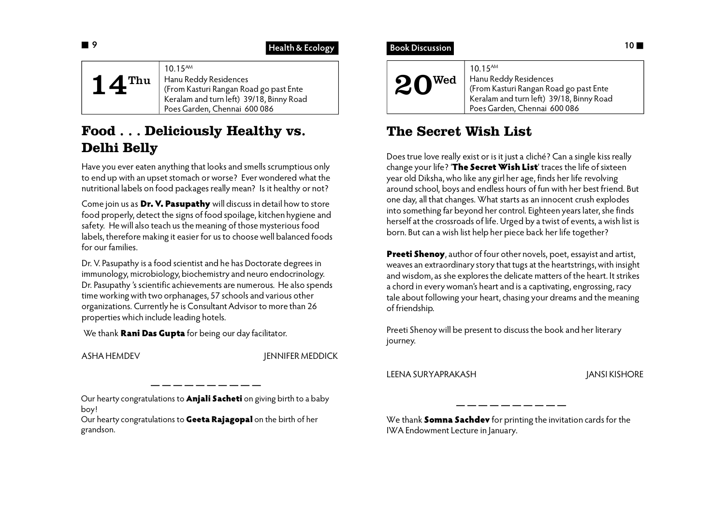| $10.15^{AM}$<br>Hanu Reddy Residences<br>Thu<br>(From Kasturi Rangan Road go past Ente<br>Keralam and turn left) 39/18, Binny Road<br>Poes Garden, Chennai 600 086 |  |
|--------------------------------------------------------------------------------------------------------------------------------------------------------------------|--|
|--------------------------------------------------------------------------------------------------------------------------------------------------------------------|--|

# **Food . . . Deliciously Healthy vs. Delhi Belly**

Have you ever eaten anything that looks and smells scrumptious only to end up with an upset stomach or worse? Ever wondered what the nutritional labels on food packages really mean? Is it healthy or not?

Come join us as **Dr. V. Pasupathy** will discuss in detail how to store food properly, detect the signs of food spoilage, kitchen hygiene and safety. He will also teach us the meaning of those mysterious food labels, therefore making it easier for us to choose well balanced foods for our families.

Dr. V. Pasupathy is a food scientist and he has Doctorate degrees in immunology, microbiology, biochemistry and neuro endocrinology. Dr. Pasupathy 's scientific achievements are numerous. He also spends time working with two orphanages, 57 schools and various other organizations. Currently he is Consultant Advisor to more than 26 properties which include leading hotels.

We thank **Rani Das Gupta** for being our day facilitator.

ASHA HEMDEV JENNIFER MEDDICK

Our hearty congratulations to **Anjali Sacheti** on giving birth to a baby boy!

Our hearty congratulations to **Geeta Rajagopal** on the birth of her grandson.

# **Book Discussion 10**

| $20^{\tiny \text{Wed}}$ | $10.15^{AM}$<br>Hanu Reddy Residences<br>(From Kasturi Rangan Road go past Ente<br>Keralam and turn left) 39/18, Binny Road<br>Poes Garden, Chennai 600 086 |
|-------------------------|-------------------------------------------------------------------------------------------------------------------------------------------------------------|
|-------------------------|-------------------------------------------------------------------------------------------------------------------------------------------------------------|

# **The Secret Wish List**

Does true love really exist or is it just a cliché? Can a single kiss really change your life? '**The Secret Wish List**' traces the life of sixteen year old Diksha, who like any girl her age, finds her life revolving around school, boys and endless hours of fun with her best friend. But one day, all that changes. What starts as an innocent crush explodes into something far beyond her control. Eighteen years later, she finds herself at the crossroads of life. Urged by a twist of events, a wish list is born. But can a wish list help her piece back her life together?

**Preeti Shenoy**, author of four other novels, poet, essayist and artist, weaves an extraordinary story that tugs at the heartstrings, with insight and wisdom, as she explores the delicate matters of the heart. It strikes a chord in every woman's heart and is a captivating, engrossing, racy tale about following your heart, chasing your dreams and the meaning of friendship.

Preeti Shenoy will be present to discuss the book and her literary journey.

LEENA SURYAPRAKASH JANSI KISHORE

We thank **Somna Sachdev** for printing the invitation cards for the IWA Endowment Lecture in January.